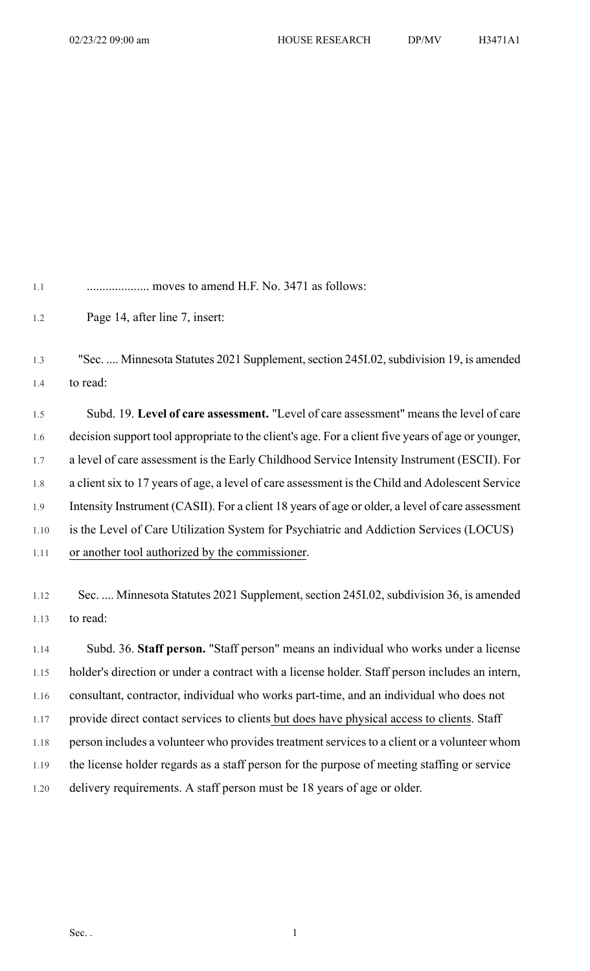1.1 .................... moves to amend H.F. No. 3471 as follows:

1.2 Page 14, after line 7, insert:

1.3 "Sec. .... Minnesota Statutes 2021 Supplement, section 245I.02, subdivision 19, is amended 1.4 to read:

1.5 Subd. 19. **Level of care assessment.** "Level of care assessment" means the level of care 1.6 decision support tool appropriate to the client's age. For a client five years of age or younger, 1.7 a level of care assessment is the Early Childhood Service Intensity Instrument (ESCII). For 1.8 a client six to 17 years of age, a level of care assessment is the Child and Adolescent Service 1.9 Intensity Instrument (CASII). For a client 18 years of age or older, a level of care assessment 1.10 is the Level of Care Utilization System for Psychiatric and Addiction Services (LOCUS) 1.11 or another tool authorized by the commissioner.

1.12 Sec. .... Minnesota Statutes 2021 Supplement, section 245I.02, subdivision 36, is amended 1.13 to read:

1.14 Subd. 36. **Staff person.** "Staff person" means an individual who works under a license 1.15 holder's direction or under a contract with a license holder. Staff person includes an intern, 1.16 consultant, contractor, individual who works part-time, and an individual who does not 1.17 provide direct contact services to clients but does have physical access to clients. Staff 1.18 person includes a volunteer who provides treatment services to a client or a volunteer whom 1.19 the license holder regards as a staff person for the purpose of meeting staffing or service 1.20 delivery requirements. A staff person must be 18 years of age or older.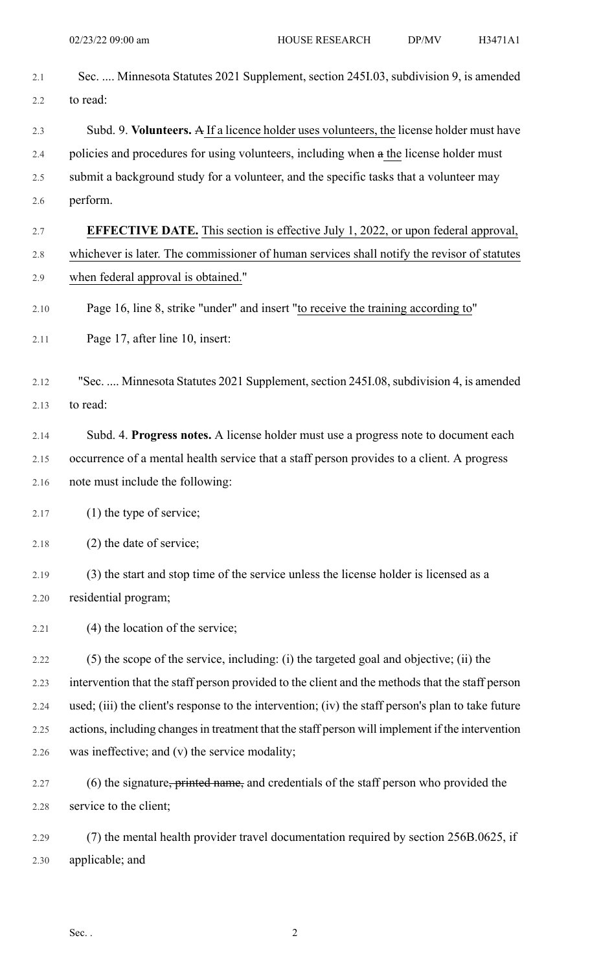| 2.1  | Sec.  Minnesota Statutes 2021 Supplement, section 2451.03, subdivision 9, is amended               |
|------|----------------------------------------------------------------------------------------------------|
| 2.2  | to read:                                                                                           |
| 2.3  | Subd. 9. Volunteers. A If a licence holder uses volunteers, the license holder must have           |
| 2.4  | policies and procedures for using volunteers, including when a the license holder must             |
| 2.5  | submit a background study for a volunteer, and the specific tasks that a volunteer may             |
| 2.6  | perform.                                                                                           |
| 2.7  | <b>EFFECTIVE DATE.</b> This section is effective July 1, 2022, or upon federal approval,           |
| 2.8  | whichever is later. The commissioner of human services shall notify the revisor of statutes        |
| 2.9  | when federal approval is obtained."                                                                |
| 2.10 | Page 16, line 8, strike "under" and insert "to receive the training according to"                  |
| 2.11 | Page 17, after line 10, insert:                                                                    |
| 2.12 | "Sec.  Minnesota Statutes 2021 Supplement, section 245I.08, subdivision 4, is amended              |
| 2.13 | to read:                                                                                           |
| 2.14 | Subd. 4. Progress notes. A license holder must use a progress note to document each                |
| 2.15 | occurrence of a mental health service that a staff person provides to a client. A progress         |
| 2.16 | note must include the following:                                                                   |
| 2.17 | $(1)$ the type of service;                                                                         |
| 2.18 | (2) the date of service;                                                                           |
| 2.19 | (3) the start and stop time of the service unless the license holder is licensed as a              |
| 2.20 | residential program;                                                                               |
| 2.21 | (4) the location of the service;                                                                   |
| 2.22 | (5) the scope of the service, including: (i) the targeted goal and objective; (ii) the             |
| 2.23 | intervention that the staff person provided to the client and the methods that the staff person    |
| 2.24 | used; (iii) the client's response to the intervention; (iv) the staff person's plan to take future |
| 2.25 | actions, including changes in treatment that the staff person will implement if the intervention   |
| 2.26 | was ineffective; and (v) the service modality;                                                     |
| 2.27 | (6) the signature, printed name, and credentials of the staff person who provided the              |
| 2.28 | service to the client;                                                                             |
| 2.29 | (7) the mental health provider travel documentation required by section 256B.0625, if              |
| 2.30 | applicable; and                                                                                    |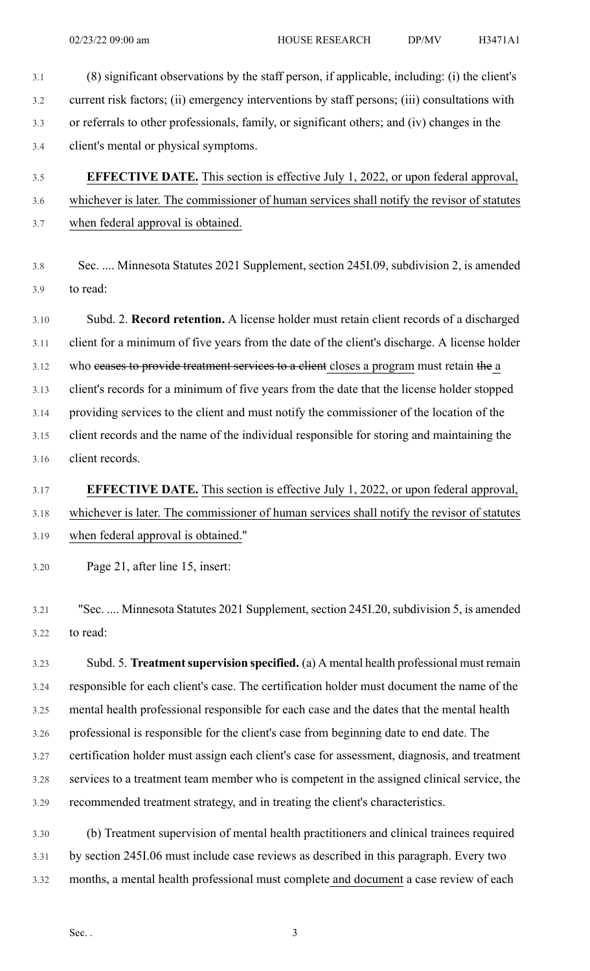- 3.1 (8) significant observations by the staff person, if applicable, including: (i) the client's 3.2 current risk factors; (ii) emergency interventions by staff persons; (iii) consultations with 3.3 or referrals to other professionals, family, or significant others; and (iv) changes in the 3.4 client's mental or physical symptoms.
- 3.5 **EFFECTIVE DATE.** This section is effective July 1, 2022, or upon federal approval, 3.6 whichever is later. The commissioner of human services shall notify the revisor of statutes 3.7 when federal approval is obtained.
- 3.8 Sec. .... Minnesota Statutes 2021 Supplement, section 245I.09, subdivision 2, is amended 3.9 to read:

3.10 Subd. 2. **Record retention.** A license holder must retain client records of a discharged 3.11 client for a minimum of five years from the date of the client's discharge. A license holder 3.12 who ceases to provide treatment services to a client closes a program must retain the a 3.13 client's records for a minimum of five years from the date that the license holder stopped 3.14 providing services to the client and must notify the commissioner of the location of the 3.15 client records and the name of the individual responsible for storing and maintaining the 3.16 client records.

## 3.17 **EFFECTIVE DATE.** This section is effective July 1, 2022, or upon federal approval, 3.18 whichever is later. The commissioner of human services shall notify the revisor of statutes 3.19 when federal approval is obtained."

3.20 Page 21, after line 15, insert:

3.21 "Sec. .... Minnesota Statutes 2021 Supplement, section 245I.20, subdivision 5, is amended 3.22 to read:

3.23 Subd. 5. **Treatmentsupervision specified.** (a) A mental health professional must remain 3.24 responsible for each client's case. The certification holder must document the name of the 3.25 mental health professional responsible for each case and the dates that the mental health 3.26 professional is responsible for the client's case from beginning date to end date. The 3.27 certification holder must assign each client's case for assessment, diagnosis, and treatment 3.28 services to a treatment team member who is competent in the assigned clinical service, the 3.29 recommended treatment strategy, and in treating the client's characteristics.

3.30 (b) Treatment supervision of mental health practitioners and clinical trainees required 3.31 by section 245I.06 must include case reviews as described in this paragraph. Every two 3.32 months, a mental health professional must complete and document a case review of each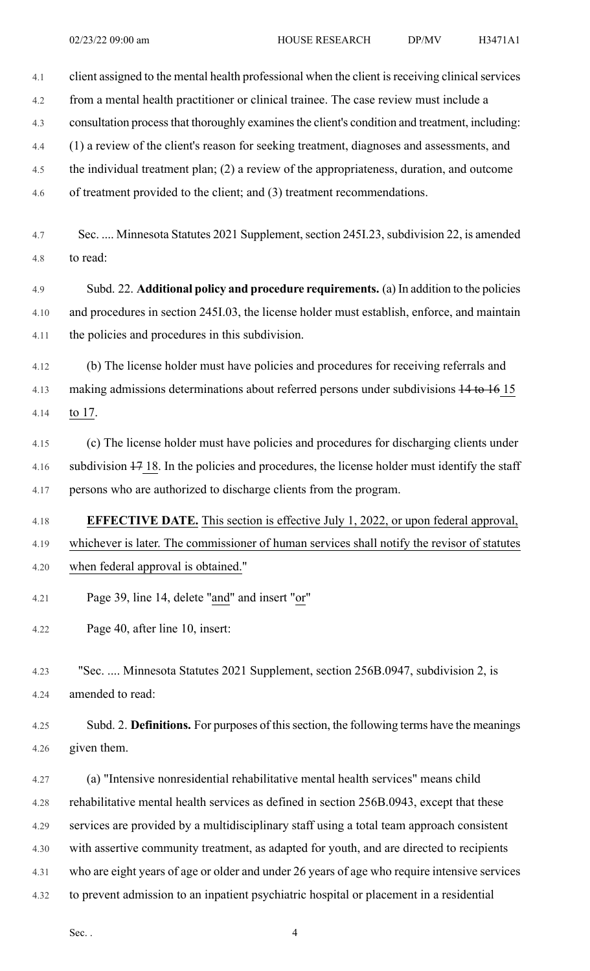| 4.1          | client assigned to the mental health professional when the client is receiving clinical services |
|--------------|--------------------------------------------------------------------------------------------------|
| 4.2          | from a mental health practitioner or clinical trainee. The case review must include a            |
| 4.3          | consultation process that thoroughly examines the client's condition and treatment, including:   |
| 4.4          | (1) a review of the client's reason for seeking treatment, diagnoses and assessments, and        |
| 4.5          | the individual treatment plan; (2) a review of the appropriateness, duration, and outcome        |
| 4.6          | of treatment provided to the client; and (3) treatment recommendations.                          |
|              |                                                                                                  |
| 4.7          | Sec.  Minnesota Statutes 2021 Supplement, section 245I.23, subdivision 22, is amended            |
| 4.8          | to read:                                                                                         |
| 4.9          | Subd. 22. Additional policy and procedure requirements. (a) In addition to the policies          |
| 4.10         | and procedures in section 245I.03, the license holder must establish, enforce, and maintain      |
| 4.11         | the policies and procedures in this subdivision.                                                 |
| 4.12         | (b) The license holder must have policies and procedures for receiving referrals and             |
| 4.13         | making admissions determinations about referred persons under subdivisions 14 to 16 15           |
| 4.14         | to $17.$                                                                                         |
| 4.15         | (c) The license holder must have policies and procedures for discharging clients under           |
| 4.16         | subdivision 47 18. In the policies and procedures, the license holder must identify the staff    |
| 4.17         | persons who are authorized to discharge clients from the program.                                |
|              |                                                                                                  |
| 4.18         | <b>EFFECTIVE DATE.</b> This section is effective July 1, 2022, or upon federal approval,         |
| 4.19         | whichever is later. The commissioner of human services shall notify the revisor of statutes      |
| 4.20         | when federal approval is obtained."                                                              |
| 4.21         | Page 39, line 14, delete "and" and insert "or"                                                   |
| 4.22         | Page 40, after line 10, insert:                                                                  |
|              |                                                                                                  |
| 4.23         | "Sec.  Minnesota Statutes 2021 Supplement, section 256B.0947, subdivision 2, is                  |
| 4.24         | amended to read:                                                                                 |
| 4.25         | Subd. 2. Definitions. For purposes of this section, the following terms have the meanings        |
| 4.26         | given them.                                                                                      |
| 4.27         | (a) "Intensive nonresidential rehabilitative mental health services" means child                 |
|              | rehabilitative mental health services as defined in section 256B.0943, except that these         |
| 4.28<br>4.29 | services are provided by a multidisciplinary staff using a total team approach consistent        |
| 4.30         | with assertive community treatment, as adapted for youth, and are directed to recipients         |
|              | who are eight years of age or older and under 26 years of age who require intensive services     |
| 4.31         |                                                                                                  |
| 4.32         | to prevent admission to an inpatient psychiatric hospital or placement in a residential          |

Sec.  $4$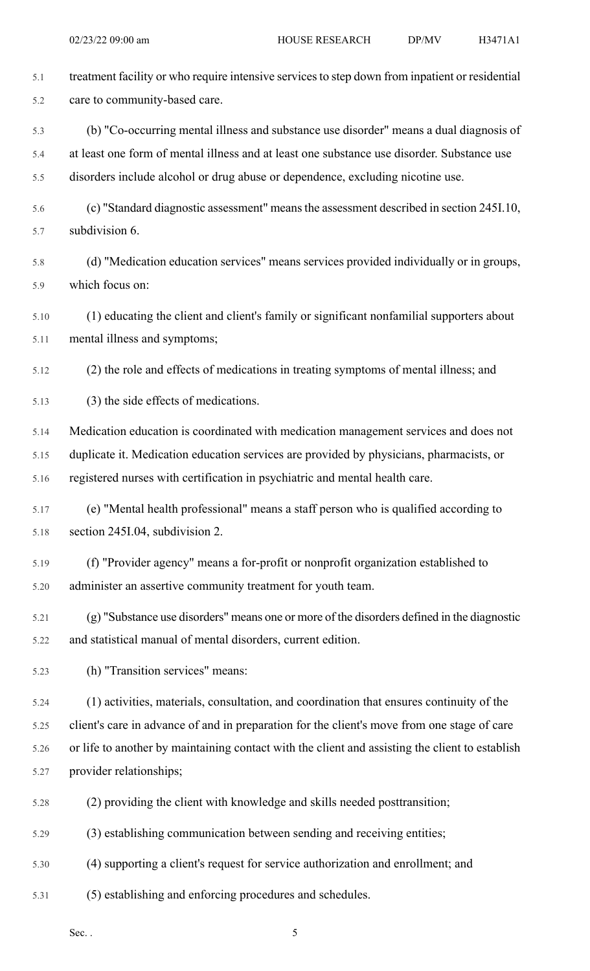| 5.1  | treatment facility or who require intensive services to step down from inpatient or residential |
|------|-------------------------------------------------------------------------------------------------|
| 5.2  | care to community-based care.                                                                   |
| 5.3  | (b) "Co-occurring mental illness and substance use disorder" means a dual diagnosis of          |
| 5.4  | at least one form of mental illness and at least one substance use disorder. Substance use      |
| 5.5  | disorders include alcohol or drug abuse or dependence, excluding nicotine use.                  |
| 5.6  | (c) "Standard diagnostic assessment" means the assessment described in section 245I.10,         |
| 5.7  | subdivision 6.                                                                                  |
| 5.8  | (d) "Medication education services" means services provided individually or in groups,          |
| 5.9  | which focus on:                                                                                 |
| 5.10 | (1) educating the client and client's family or significant nonfamilial supporters about        |
| 5.11 | mental illness and symptoms;                                                                    |
| 5.12 | (2) the role and effects of medications in treating symptoms of mental illness; and             |
| 5.13 | (3) the side effects of medications.                                                            |
| 5.14 | Medication education is coordinated with medication management services and does not            |
| 5.15 | duplicate it. Medication education services are provided by physicians, pharmacists, or         |
| 5.16 | registered nurses with certification in psychiatric and mental health care.                     |
| 5.17 | (e) "Mental health professional" means a staff person who is qualified according to             |
| 5.18 | section 245I.04, subdivision 2.                                                                 |
| 5.19 | (f) "Provider agency" means a for-profit or nonprofit organization established to               |
| 5.20 | administer an assertive community treatment for youth team.                                     |
| 5.21 | (g) "Substance use disorders" means one or more of the disorders defined in the diagnostic      |
| 5.22 | and statistical manual of mental disorders, current edition.                                    |
| 5.23 | (h) "Transition services" means:                                                                |
| 5.24 | (1) activities, materials, consultation, and coordination that ensures continuity of the        |
| 5.25 | client's care in advance of and in preparation for the client's move from one stage of care     |
| 5.26 | or life to another by maintaining contact with the client and assisting the client to establish |
| 5.27 | provider relationships;                                                                         |
| 5.28 | (2) providing the client with knowledge and skills needed posttransition;                       |
| 5.29 | (3) establishing communication between sending and receiving entities;                          |
| 5.30 | (4) supporting a client's request for service authorization and enrollment; and                 |
| 5.31 | (5) establishing and enforcing procedures and schedules.                                        |

Sec.  $\,$  5